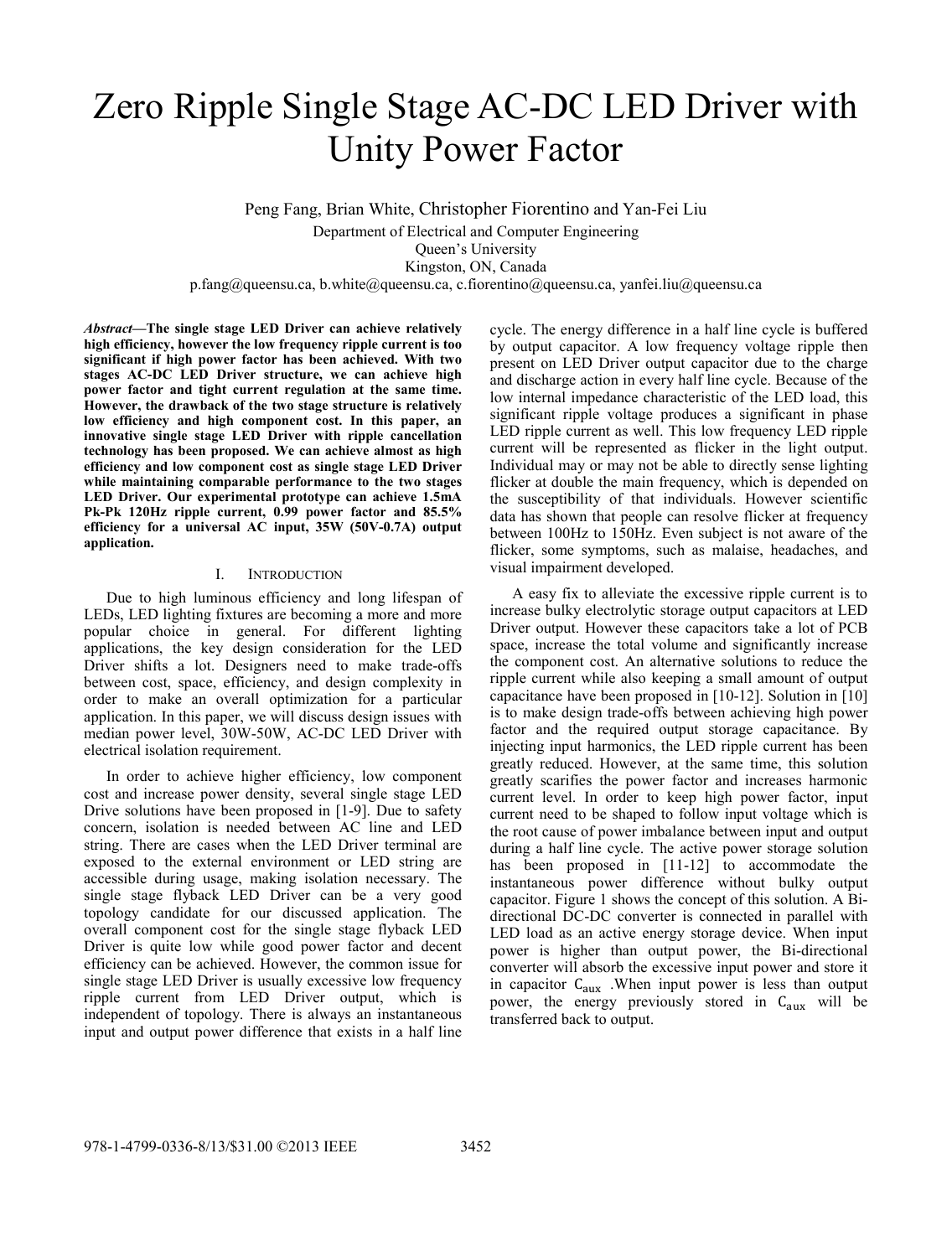# Zero Ripple Single Stage AC-DC LED Driver with Unity Power Factor

Peng Fang, Brian White, Christopher Fiorentino and Yan-Fei Liu

Department of Electrical and Computer Engineering

Queen's University

Kingston, ON, Canada

p.fang@queensu.ca, b.white@queensu.ca, c.fiorentino@queensu.ca, yanfei.liu@queensu.ca

*Abstract***—The single stage LED Driver can achieve relatively high efficiency, however the low frequency ripple current is too significant if high power factor has been achieved. With two stages AC-DC LED Driver structure, we can achieve high power factor and tight current regulation at the same time. However, the drawback of the two stage structure is relatively low efficiency and high component cost. In this paper, an innovative single stage LED Driver with ripple cancellation technology has been proposed. We can achieve almost as high efficiency and low component cost as single stage LED Driver while maintaining comparable performance to the two stages LED Driver. Our experimental prototype can achieve 1.5mA Pk-Pk 120Hz ripple current, 0.99 power factor and 85.5% efficiency for a universal AC input, 35W (50V-0.7A) output application.** 

## I. INTRODUCTION

Due to high luminous efficiency and long lifespan of LEDs, LED lighting fixtures are becoming a more and more popular choice in general. For different lighting applications, the key design consideration for the LED Driver shifts a lot. Designers need to make trade-offs between cost, space, efficiency, and design complexity in order to make an overall optimization for a particular application. In this paper, we will discuss design issues with median power level, 30W-50W, AC-DC LED Driver with electrical isolation requirement.

In order to achieve higher efficiency, low component cost and increase power density, several single stage LED Drive solutions have been proposed in [1-9]. Due to safety concern, isolation is needed between AC line and LED string. There are cases when the LED Driver terminal are exposed to the external environment or LED string are accessible during usage, making isolation necessary. The single stage flyback LED Driver can be a very good topology candidate for our discussed application. The overall component cost for the single stage flyback LED Driver is quite low while good power factor and decent efficiency can be achieved. However, the common issue for single stage LED Driver is usually excessive low frequency ripple current from LED Driver output, which is independent of topology. There is always an instantaneous input and output power difference that exists in a half line

cycle. The energy difference in a half line cycle is buffered by output capacitor. A low frequency voltage ripple then present on LED Driver output capacitor due to the charge and discharge action in every half line cycle. Because of the low internal impedance characteristic of the LED load, this significant ripple voltage produces a significant in phase LED ripple current as well. This low frequency LED ripple current will be represented as flicker in the light output. Individual may or may not be able to directly sense lighting flicker at double the main frequency, which is depended on the susceptibility of that individuals. However scientific data has shown that people can resolve flicker at frequency between 100Hz to 150Hz. Even subject is not aware of the flicker, some symptoms, such as malaise, headaches, and visual impairment developed.

A easy fix to alleviate the excessive ripple current is to increase bulky electrolytic storage output capacitors at LED Driver output. However these capacitors take a lot of PCB space, increase the total volume and significantly increase the component cost. An alternative solutions to reduce the ripple current while also keeping a small amount of output capacitance have been proposed in [10-12]. Solution in [10] is to make design trade-offs between achieving high power factor and the required output storage capacitance. By injecting input harmonics, the LED ripple current has been greatly reduced. However, at the same time, this solution greatly scarifies the power factor and increases harmonic current level. In order to keep high power factor, input current need to be shaped to follow input voltage which is the root cause of power imbalance between input and output during a half line cycle. The active power storage solution has been proposed in [11-12] to accommodate the instantaneous power difference without bulky output capacitor. Figure 1 shows the concept of this solution. A Bidirectional DC-DC converter is connected in parallel with LED load as an active energy storage device. When input power is higher than output power, the Bi-directional converter will absorb the excessive input power and store it in capacitor  $C_{aux}$  . When input power is less than output power, the energy previously stored in C<sub>aux</sub> will be transferred back to output.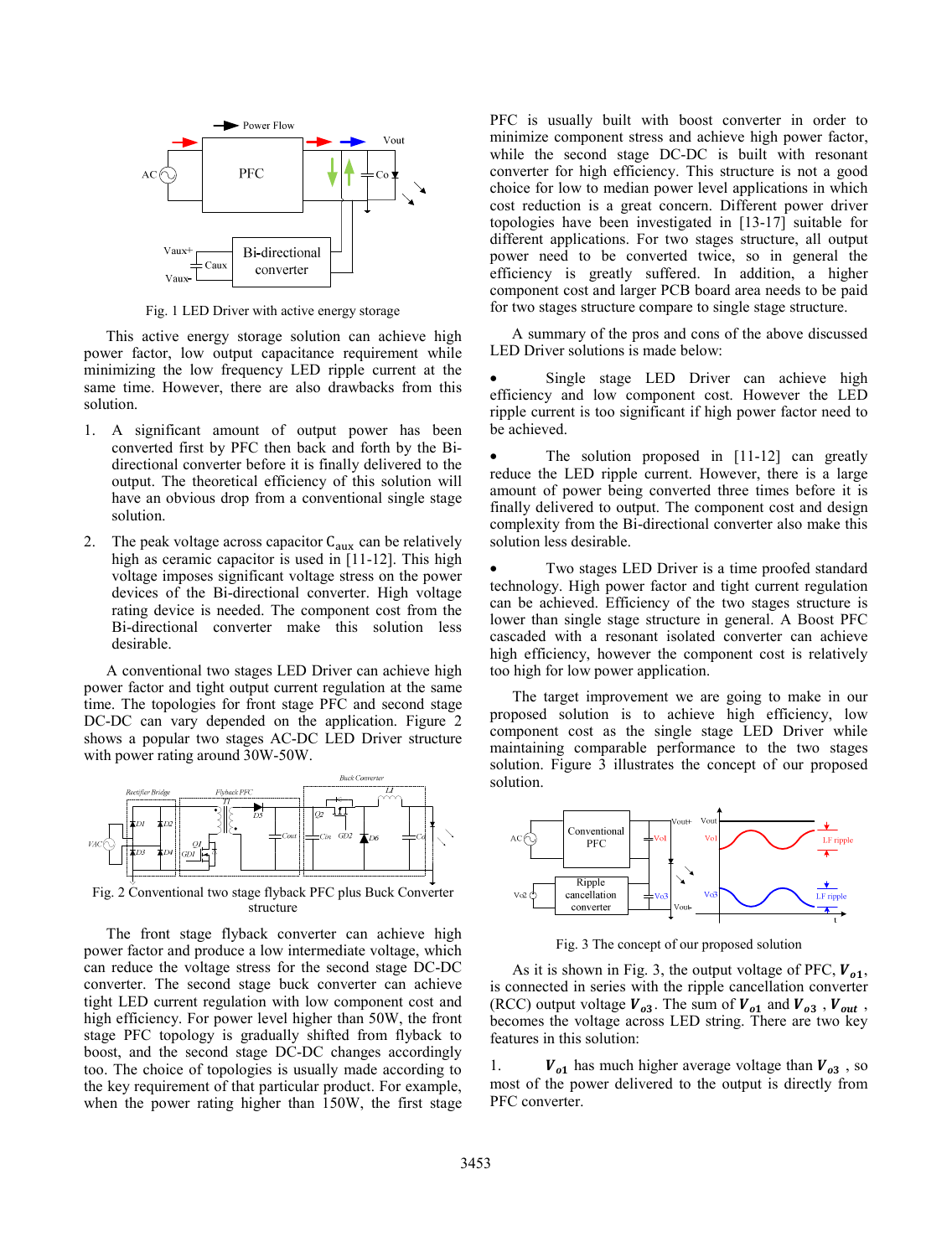

Fig. 1 LED Driver with active energy storage

This active energy storage solution can achieve high power factor, low output capacitance requirement while minimizing the low frequency LED ripple current at the same time. However, there are also drawbacks from this solution.

- 1. A significant amount of output power has been converted first by PFC then back and forth by the Bidirectional converter before it is finally delivered to the output. The theoretical efficiency of this solution will have an obvious drop from a conventional single stage solution.
- The peak voltage across capacitor  $C_{aux}$  can be relatively high as ceramic capacitor is used in [11-12]. This high voltage imposes significant voltage stress on the power devices of the Bi-directional converter. High voltage rating device is needed. The component cost from the Bi-directional converter make this solution less desirable.

A conventional two stages LED Driver can achieve high power factor and tight output current regulation at the same time. The topologies for front stage PFC and second stage DC-DC can vary depended on the application. Figure 2 shows a popular two stages AC-DC LED Driver structure with power rating around 30W-50W.



Fig. 2 Conventional two stage flyback PFC plus Buck Converter structure

The front stage flyback converter can achieve high power factor and produce a low intermediate voltage, which can reduce the voltage stress for the second stage DC-DC converter. The second stage buck converter can achieve tight LED current regulation with low component cost and high efficiency. For power level higher than 50W, the front stage PFC topology is gradually shifted from flyback to boost, and the second stage DC-DC changes accordingly too. The choice of topologies is usually made according to the key requirement of that particular product. For example, when the power rating higher than 150W, the first stage PFC is usually built with boost converter in order to minimize component stress and achieve high power factor, while the second stage DC-DC is built with resonant converter for high efficiency. This structure is not a good choice for low to median power level applications in which cost reduction is a great concern. Different power driver topologies have been investigated in [13-17] suitable for different applications. For two stages structure, all output power need to be converted twice, so in general the efficiency is greatly suffered. In addition, a higher component cost and larger PCB board area needs to be paid for two stages structure compare to single stage structure.

A summary of the pros and cons of the above discussed LED Driver solutions is made below:

Single stage LED Driver can achieve high efficiency and low component cost. However the LED ripple current is too significant if high power factor need to be achieved.

The solution proposed in [11-12] can greatly reduce the LED ripple current. However, there is a large amount of power being converted three times before it is finally delivered to output. The component cost and design complexity from the Bi-directional converter also make this solution less desirable.

Two stages LED Driver is a time proofed standard technology. High power factor and tight current regulation can be achieved. Efficiency of the two stages structure is lower than single stage structure in general. A Boost PFC cascaded with a resonant isolated converter can achieve high efficiency, however the component cost is relatively too high for low power application.

The target improvement we are going to make in our proposed solution is to achieve high efficiency, low component cost as the single stage LED Driver while maintaining comparable performance to the two stages solution. Figure 3 illustrates the concept of our proposed solution.



Fig. 3 The concept of our proposed solution

As it is shown in Fig. 3, the output voltage of PFC,  $V_{01}$ , is connected in series with the ripple cancellation converter (RCC) output voltage  $V_{a3}$ . The sum of  $V_{a1}$  and  $V_{a3}$ ,  $V_{out}$ , becomes the voltage across LED string. There are two key features in this solution:

1.  $V_{o1}$  has much higher average voltage than  $V_{o3}$ , so most of the power delivered to the output is directly from PFC converter.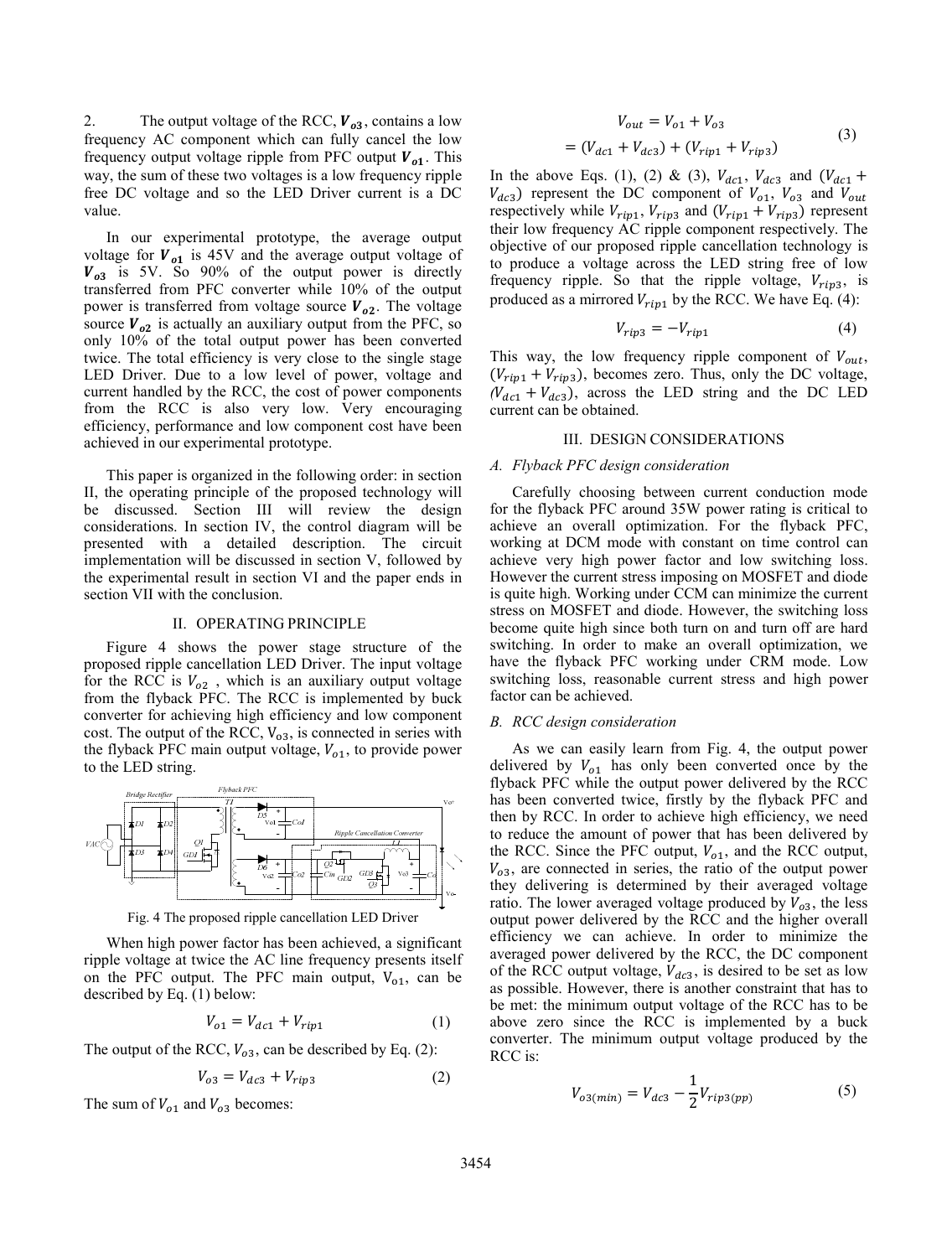2. The output voltage of the RCC,  $V_{a3}$ , contains a low frequency AC component which can fully cancel the low frequency output voltage ripple from PFC output  $V_{01}$ . This way, the sum of these two voltages is a low frequency ripple free DC voltage and so the LED Driver current is a DC value.

In our experimental prototype, the average output voltage for  $V_{o1}$  is 45V and the average output voltage of  $V_{03}$  is 5V. So 90% of the output power is directly transferred from PFC converter while 10% of the output power is transferred from voltage source  $V_{02}$ . The voltage source  $V_{o2}$  is actually an auxiliary output from the PFC, so only 10% of the total output power has been converted twice. The total efficiency is very close to the single stage LED Driver. Due to a low level of power, voltage and current handled by the RCC, the cost of power components from the RCC is also very low. Very encouraging efficiency, performance and low component cost have been achieved in our experimental prototype.

This paper is organized in the following order: in section II, the operating principle of the proposed technology will be discussed. Section III will review the design considerations. In section IV, the control diagram will be presented with a detailed description. The circuit implementation will be discussed in section V, followed by the experimental result in section VI and the paper ends in section VII with the conclusion.

# II. OPERATING PRINCIPLE

Figure 4 shows the power stage structure of the proposed ripple cancellation LED Driver. The input voltage for the RCC is  $V_{o2}$ , which is an auxiliary output voltage from the flyback PFC. The RCC is implemented by buck converter for achieving high efficiency and low component cost. The output of the RCC,  $V_{03}$ , is connected in series with the flyback PFC main output voltage,  $V_{o1}$ , to provide power to the LED string.



Fig. 4 The proposed ripple cancellation LED Driver

When high power factor has been achieved, a significant ripple voltage at twice the AC line frequency presents itself on the PFC output. The PFC main output,  $V_{01}$ , can be described by Eq. (1) below:

$$
V_{o1} = V_{dc1} + V_{rip1}
$$
 (1)

The output of the RCC,  $V_{o3}$ , can be described by Eq. (2):

$$
V_{o3} = V_{dc3} + V_{rip3} \tag{2}
$$

The sum of  $V_{o1}$  and  $V_{o3}$  becomes:

$$
V_{out} = V_{o1} + V_{o3}
$$
  
=  $(V_{dc1} + V_{dc3}) + (V_{rip1} + V_{rip3})$  (3)

In the above Eqs. (1), (2) & (3),  $V_{dc1}$ ,  $V_{dc3}$  and  $(V_{dc1}$  +  $V_{dc3}$ ) represent the DC component of  $V_{o1}$ ,  $V_{o3}$  and  $V_{out}$ respectively while  $V_{rip1}$ ,  $V_{rip3}$  and  $(V_{rip1} + V_{rip3})$  represent their low frequency AC ripple component respectively. The objective of our proposed ripple cancellation technology is to produce a voltage across the LED string free of low frequency ripple. So that the ripple voltage,  $V_{rip3}$ , is produced as a mirrored  $V_{rip1}$  by the RCC. We have Eq. (4):

$$
V_{rip3} = -V_{rip1} \tag{4}
$$

This way, the low frequency ripple component of  $V_{out}$ ,  $(V_{rip1} + V_{rip3})$ , becomes zero. Thus, only the DC voltage,  $(V_{dc1} + V_{dc3})$ , across the LED string and the DC LED current can be obtained.

#### III. DESIGN CONSIDERATIONS

#### *A. Flyback PFC design consideration*

Carefully choosing between current conduction mode for the flyback PFC around 35W power rating is critical to achieve an overall optimization. For the flyback PFC, working at DCM mode with constant on time control can achieve very high power factor and low switching loss. However the current stress imposing on MOSFET and diode is quite high. Working under CCM can minimize the current stress on MOSFET and diode. However, the switching loss become quite high since both turn on and turn off are hard switching. In order to make an overall optimization, we have the flyback PFC working under CRM mode. Low switching loss, reasonable current stress and high power factor can be achieved.

# *B. RCC design consideration*

As we can easily learn from Fig. 4, the output power delivered by  $V_{o1}$  has only been converted once by the flyback PFC while the output power delivered by the RCC has been converted twice, firstly by the flyback PFC and then by RCC. In order to achieve high efficiency, we need to reduce the amount of power that has been delivered by the RCC. Since the PFC output,  $V_{o1}$ , and the RCC output,  $V_{o3}$ , are connected in series, the ratio of the output power they delivering is determined by their averaged voltage ratio. The lower averaged voltage produced by  $V_{o3}$ , the less output power delivered by the RCC and the higher overall efficiency we can achieve. In order to minimize the averaged power delivered by the RCC, the DC component of the RCC output voltage,  $V_{dc3}$ , is desired to be set as low as possible. However, there is another constraint that has to be met: the minimum output voltage of the RCC has to be above zero since the RCC is implemented by a buck converter. The minimum output voltage produced by the RCC is:

$$
V_{o3(min)} = V_{dc3} - \frac{1}{2} V_{rip3(pp)} \tag{5}
$$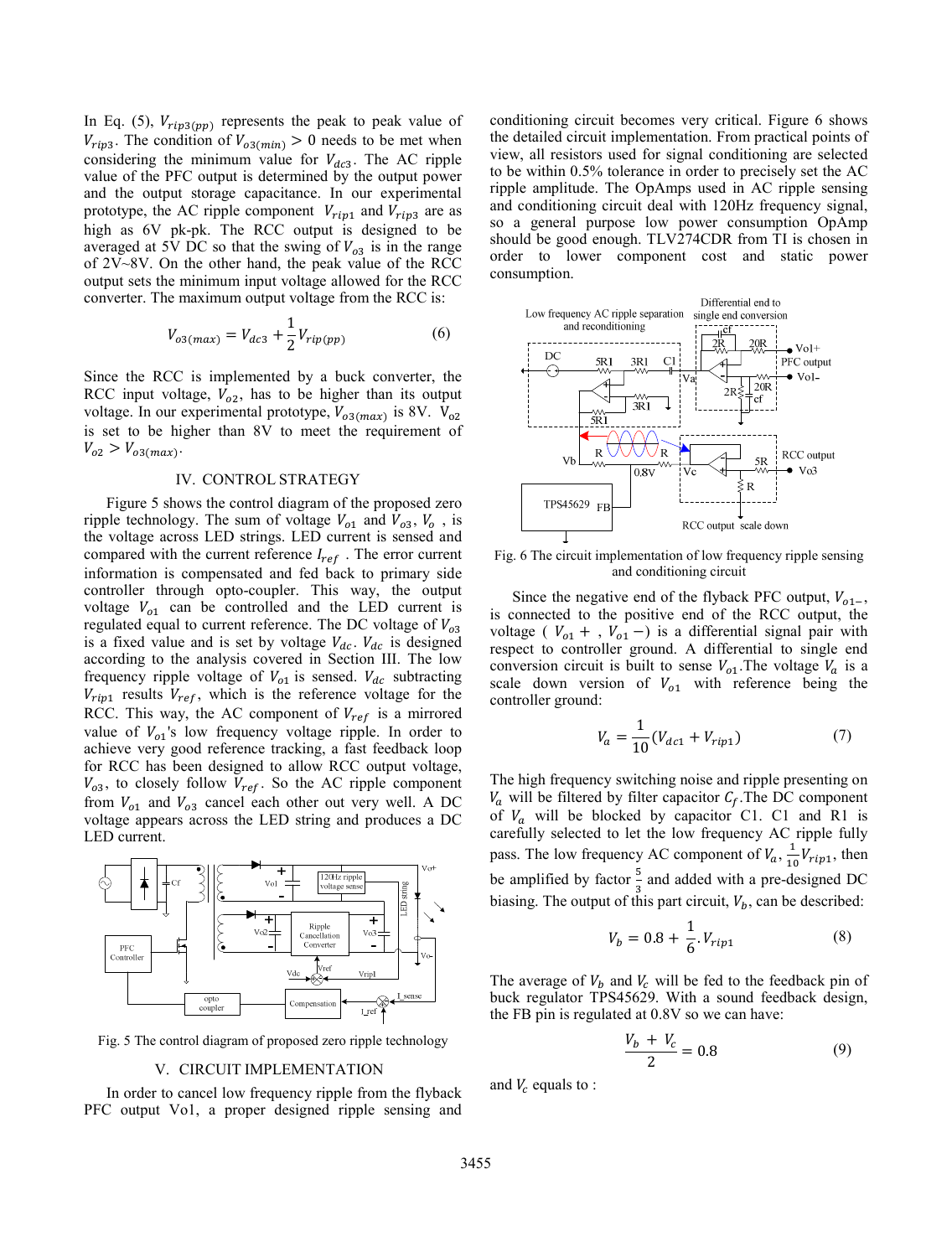In Eq. (5),  $V_{rip3(pp)}$  represents the peak to peak value of  $V_{rip3}$ . The condition of  $V_{o3(min)} > 0$  needs to be met when considering the minimum value for  $V_{dc3}$ . The AC ripple value of the PFC output is determined by the output power and the output storage capacitance. In our experimental prototype, the AC ripple component  $V_{rip1}$  and  $V_{rip3}$  are as high as 6V pk-pk. The RCC output is designed to be averaged at 5V DC so that the swing of  $V_{03}$  is in the range of 2V~8V. On the other hand, the peak value of the RCC output sets the minimum input voltage allowed for the RCC converter. The maximum output voltage from the RCC is:

$$
V_{o3(max)} = V_{dc3} + \frac{1}{2} V_{rip(pp)} \tag{6}
$$

Since the RCC is implemented by a buck converter, the RCC input voltage,  $V_{o2}$ , has to be higher than its output voltage. In our experimental prototype,  $V_{o3(max)}$  is 8V. V<sub>o2</sub> is set to be higher than 8V to meet the requirement of  $V_{o2} > V_{o3(max)}$ .

# IV. CONTROL STRATEGY

Figure 5 shows the control diagram of the proposed zero ripple technology. The sum of voltage  $V_{o1}$  and  $V_{o3}$ ,  $V_o$ , is the voltage across LED strings. LED current is sensed and compared with the current reference  $I_{ref}$ . The error current information is compensated and fed back to primary side controller through opto-coupler. This way, the output voltage  $V_{o1}$  can be controlled and the LED current is regulated equal to current reference. The DC voltage of  $V_{o3}$ is a fixed value and is set by voltage  $V_{dc}$ .  $V_{dc}$  is designed according to the analysis covered in Section III. The low frequency ripple voltage of  $V_{o1}$  is sensed.  $V_{dc}$  subtracting  $V_{rip1}$  results  $V_{ref}$ , which is the reference voltage for the RCC. This way, the AC component of  $V_{ref}$  is a mirrored value of  $V_{o1}$ 's low frequency voltage ripple. In order to achieve very good reference tracking, a fast feedback loop for RCC has been designed to allow RCC output voltage,  $V_{o3}$ , to closely follow  $V_{ref}$ . So the AC ripple component from  $V_{o1}$  and  $V_{o3}$  cancel each other out very well. A DC voltage appears across the LED string and produces a DC LED current.



Fig. 5 The control diagram of proposed zero ripple technology

# V. CIRCUIT IMPLEMENTATION

In order to cancel low frequency ripple from the flyback PFC output Vo1, a proper designed ripple sensing and conditioning circuit becomes very critical. Figure 6 shows the detailed circuit implementation. From practical points of view, all resistors used for signal conditioning are selected to be within 0.5% tolerance in order to precisely set the AC ripple amplitude. The OpAmps used in AC ripple sensing and conditioning circuit deal with 120Hz frequency signal, so a general purpose low power consumption OpAmp should be good enough. TLV274CDR from TI is chosen in order to lower component cost and static power consumption.



and conditioning circuit

Since the negative end of the flyback PFC output,  $V_{o1-}$ , is connected to the positive end of the RCC output, the voltage (  $V_{o1}$  + ,  $V_{o1}$  –) is a differential signal pair with respect to controller ground. A differential to single end conversion circuit is built to sense  $V_{o1}$ . The voltage  $V_a$  is a scale down version of  $V_{o1}$  with reference being the controller ground:

$$
V_a = \frac{1}{10} (V_{dc1} + V_{rip1})
$$
 (7)

The high frequency switching noise and ripple presenting on  $V_a$  will be filtered by filter capacitor  $C_f$ . The DC component of  $V_a$  will be blocked by capacitor C1. C1 and R1 is carefully selected to let the low frequency AC ripple fully pass. The low frequency AC component of  $V_a$ ,  $\frac{1}{10}V_{rip1}$ , then be amplified by factor  $\frac{5}{3}$  and added with a pre-designed DC biasing. The output of this part circuit,  $V_b$ , can be described:

$$
V_b = 0.8 + \frac{1}{6} V_{rip1}
$$
 (8)

The average of  $V<sub>b</sub>$  and  $V<sub>c</sub>$  will be fed to the feedback pin of buck regulator TPS45629. With a sound feedback design, the FB pin is regulated at 0.8V so we can have:

$$
\frac{V_b + V_c}{2} = 0.8\tag{9}
$$

and  $V_c$  equals to :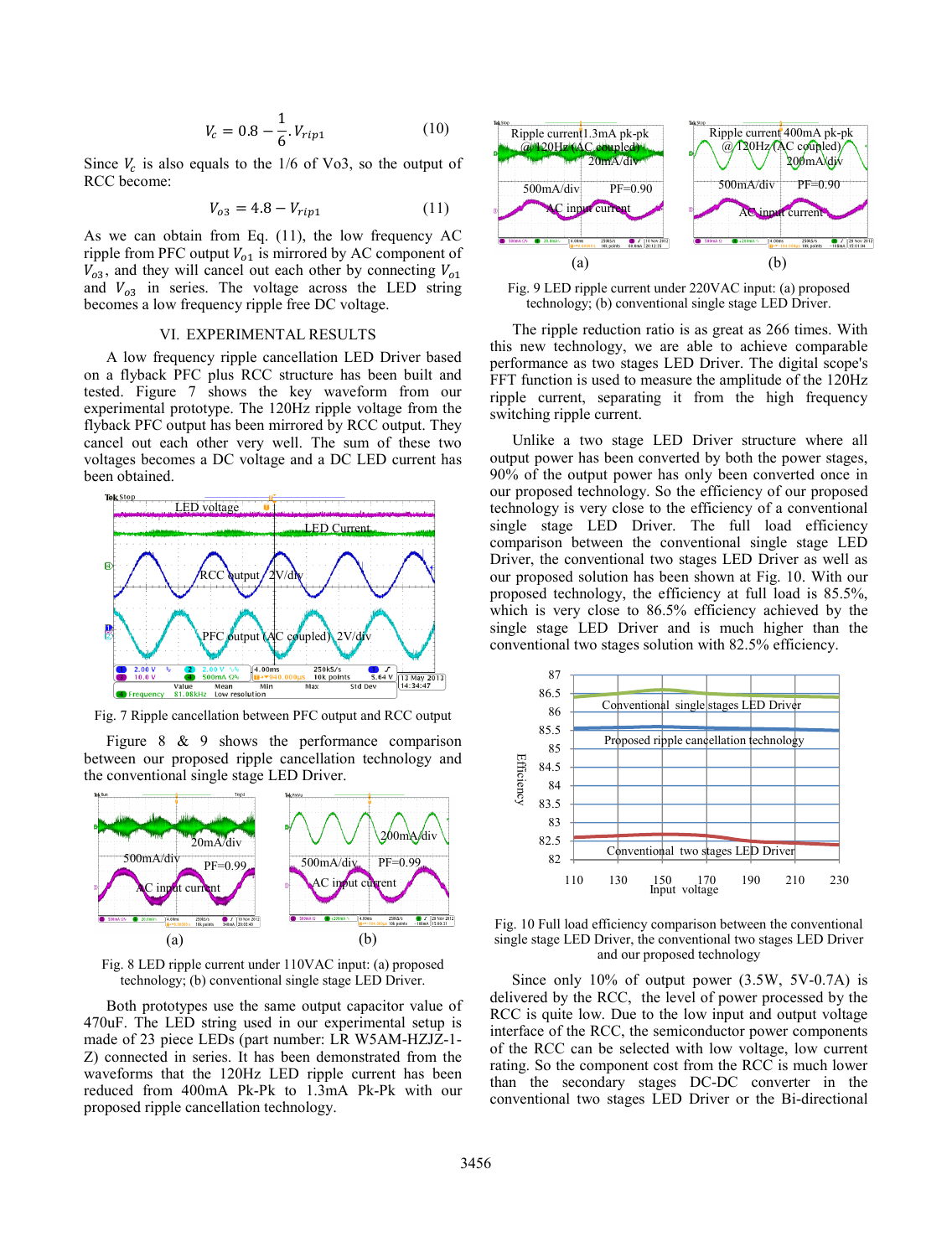$$
V_c = 0.8 - \frac{1}{6} V_{rip1}
$$
 (10)

Since  $V_c$  is also equals to the 1/6 of Vo3, so the output of RCC become:

$$
V_{o3} = 4.8 - V_{rip1} \tag{11}
$$

As we can obtain from Eq. (11), the low frequency AC ripple from PFC output  $V_{01}$  is mirrored by AC component of  $V_{03}$ , and they will cancel out each other by connecting  $V_{01}$ and  $V_{o3}$  in series. The voltage across the LED string becomes a low frequency ripple free DC voltage.

# VI. EXPERIMENTAL RESULTS

A low frequency ripple cancellation LED Driver based on a flyback PFC plus RCC structure has been built and tested. Figure 7 shows the key waveform from our experimental prototype. The 120Hz ripple voltage from the flyback PFC output has been mirrored by RCC output. They cancel out each other very well. The sum of these two voltages becomes a DC voltage and a DC LED current has been obtained.



Fig. 7 Ripple cancellation between PFC output and RCC output

Figure 8 & 9 shows the performance comparison between our proposed ripple cancellation technology and the conventional single stage LED Driver.



Fig. 8 LED ripple current under 110VAC input: (a) proposed technology; (b) conventional single stage LED Driver.

Both prototypes use the same output capacitor value of 470uF. The LED string used in our experimental setup is made of 23 piece LEDs (part number: LR W5AM-HZJZ-1- Z) connected in series. It has been demonstrated from the waveforms that the 120Hz LED ripple current has been reduced from 400mA Pk-Pk to 1.3mA Pk-Pk with our proposed ripple cancellation technology.



Fig. 9 LED ripple current under 220VAC input: (a) proposed technology; (b) conventional single stage LED Driver.

The ripple reduction ratio is as great as 266 times. With this new technology, we are able to achieve comparable performance as two stages LED Driver. The digital scope's FFT function is used to measure the amplitude of the 120Hz ripple current, separating it from the high frequency switching ripple current.

Unlike a two stage LED Driver structure where all output power has been converted by both the power stages, 90% of the output power has only been converted once in our proposed technology. So the efficiency of our proposed technology is very close to the efficiency of a conventional single stage LED Driver. The full load efficiency comparison between the conventional single stage LED Driver, the conventional two stages LED Driver as well as our proposed solution has been shown at Fig. 10. With our proposed technology, the efficiency at full load is 85.5%, which is very close to 86.5% efficiency achieved by the single stage LED Driver and is much higher than the conventional two stages solution with 82.5% efficiency.



Fig. 10 Full load efficiency comparison between the conventional single stage LED Driver, the conventional two stages LED Driver and our proposed technology

Since only 10% of output power (3.5W, 5V-0.7A) is delivered by the RCC, the level of power processed by the RCC is quite low. Due to the low input and output voltage interface of the RCC, the semiconductor power components of the RCC can be selected with low voltage, low current rating. So the component cost from the RCC is much lower than the secondary stages DC-DC converter in the conventional two stages LED Driver or the Bi-directional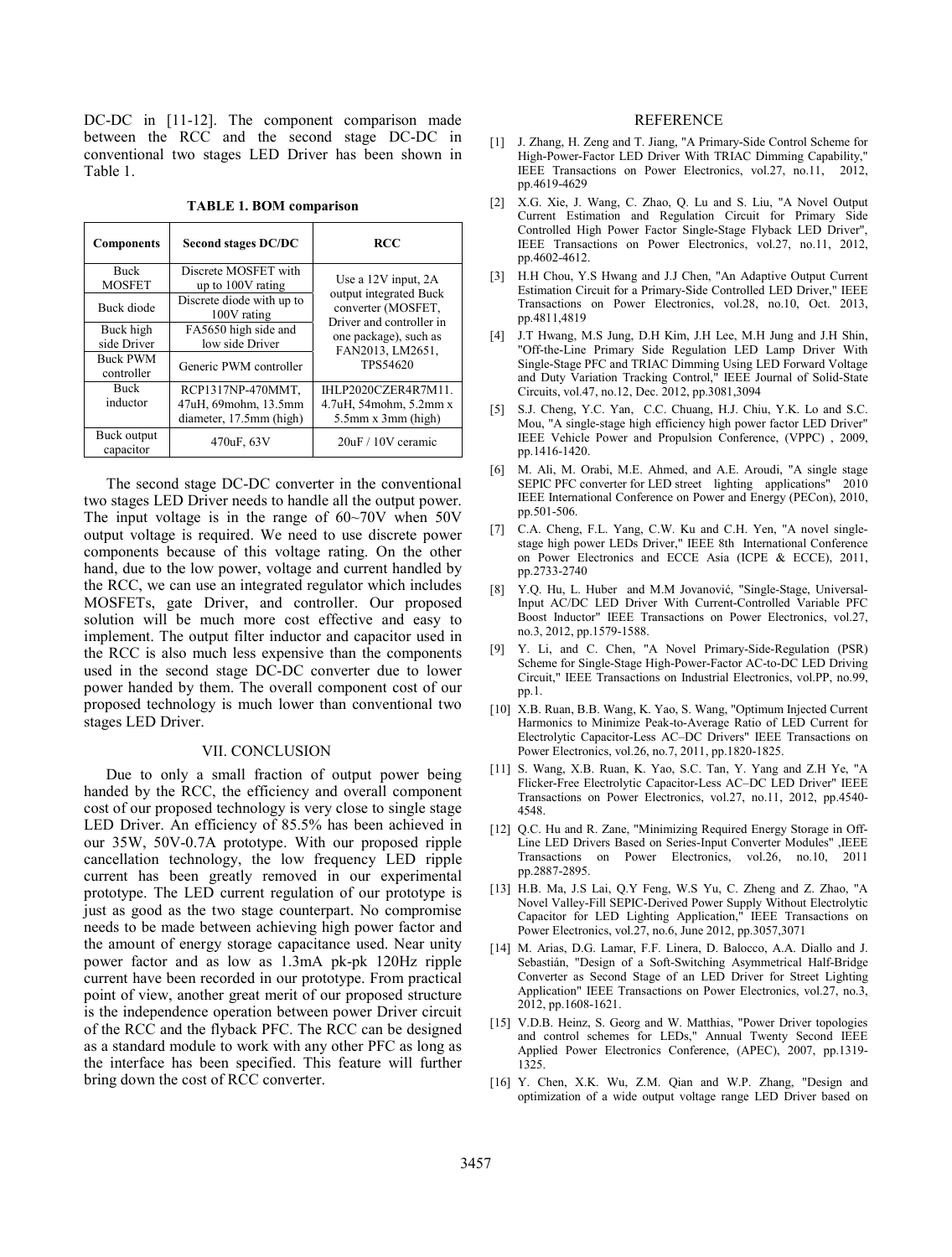DC-DC in [11-12]. The component comparison made between the RCC and the second stage DC-DC in conventional two stages LED Driver has been shown in Table 1.

|  |  |  | <b>TABLE 1. BOM comparison</b> |
|--|--|--|--------------------------------|
|--|--|--|--------------------------------|

| <b>Components</b>             | <b>Second stages DC/DC</b>                                           | <b>RCC</b>                                                                                                                                                   |
|-------------------------------|----------------------------------------------------------------------|--------------------------------------------------------------------------------------------------------------------------------------------------------------|
| <b>Buck</b><br><b>MOSFET</b>  | Discrete MOSFET with<br>up to 100V rating                            | Use a $12V$ input, $2A$<br>output integrated Buck<br>converter (MOSFET,<br>Driver and controller in<br>one package), such as<br>FAN2013, LM2651,<br>TPS54620 |
| Buck diode                    | Discrete diode with up to<br>100V rating                             |                                                                                                                                                              |
| Buck high<br>side Driver      | FA5650 high side and<br>low side Driver                              |                                                                                                                                                              |
| <b>Buck PWM</b><br>controller | Generic PWM controller                                               |                                                                                                                                                              |
| <b>Buck</b><br>inductor       | RCP1317NP-470MMT,<br>47uH, 69mohm, 13.5mm<br>diameter, 17.5mm (high) | <b>IHLP2020CZER4R7M11</b><br>4.7uH, 54mohm, 5.2mmx<br>$5.5$ mm x $3$ mm (high)                                                                               |
| Buck output<br>capacitor      | 470uF, 63V                                                           | 20uF / 10V ceramic                                                                                                                                           |

The second stage DC-DC converter in the conventional two stages LED Driver needs to handle all the output power. The input voltage is in the range of 60~70V when 50V output voltage is required. We need to use discrete power components because of this voltage rating. On the other hand, due to the low power, voltage and current handled by the RCC, we can use an integrated regulator which includes MOSFETs, gate Driver, and controller. Our proposed solution will be much more cost effective and easy to implement. The output filter inductor and capacitor used in the RCC is also much less expensive than the components used in the second stage DC-DC converter due to lower power handed by them. The overall component cost of our proposed technology is much lower than conventional two stages LED Driver.

# VII. CONCLUSION

Due to only a small fraction of output power being handed by the RCC, the efficiency and overall component cost of our proposed technology is very close to single stage LED Driver. An efficiency of 85.5% has been achieved in our 35W, 50V-0.7A prototype. With our proposed ripple cancellation technology, the low frequency LED ripple current has been greatly removed in our experimental prototype. The LED current regulation of our prototype is just as good as the two stage counterpart. No compromise needs to be made between achieving high power factor and the amount of energy storage capacitance used. Near unity power factor and as low as 1.3mA pk-pk 120Hz ripple current have been recorded in our prototype. From practical point of view, another great merit of our proposed structure is the independence operation between power Driver circuit of the RCC and the flyback PFC. The RCC can be designed as a standard module to work with any other PFC as long as the interface has been specified. This feature will further bring down the cost of RCC converter.

## REFERENCE

- [1] J. Zhang, H. Zeng and T. Jiang, "A Primary-Side Control Scheme for High-Power-Factor LED Driver With TRIAC Dimming Capability, IEEE Transactions on Power Electronics, vol.27, no.11, 2012, pp.4619-4629
- [2] X.G. Xie, J. Wang, C. Zhao, Q. Lu and S. Liu, "A Novel Output Current Estimation and Regulation Circuit for Primary Side Controlled High Power Factor Single-Stage Flyback LED Driver", IEEE Transactions on Power Electronics, vol.27, no.11, 2012, pp.4602-4612.
- [3] H.H Chou, Y.S Hwang and J.J Chen, "An Adaptive Output Current Estimation Circuit for a Primary-Side Controlled LED Driver," IEEE Transactions on Power Electronics, vol.28, no.10, Oct. 2013, pp.4811,4819
- [4] J.T Hwang, M.S Jung, D.H Kim, J.H Lee, M.H Jung and J.H Shin, "Off-the-Line Primary Side Regulation LED Lamp Driver With Single-Stage PFC and TRIAC Dimming Using LED Forward Voltage and Duty Variation Tracking Control," IEEE Journal of Solid-State Circuits, vol.47, no.12, Dec. 2012, pp.3081,3094
- [5] S.J. Cheng, Y.C. Yan, C.C. Chuang, H.J. Chiu, Y.K. Lo and S.C. Mou, "A single-stage high efficiency high power factor LED Driver" IEEE Vehicle Power and Propulsion Conference, (VPPC) , 2009, pp.1416-1420.
- [6] M. Ali, M. Orabi, M.E. Ahmed, and A.E. Aroudi, "A single stage SEPIC PFC converter for LED street lighting applications" 2010 IEEE International Conference on Power and Energy (PECon), 2010, pp.501-506.
- [7] C.A. Cheng, F.L. Yang, C.W. Ku and C.H. Yen, "A novel singlestage high power LEDs Driver," IEEE 8th International Conference on Power Electronics and ECCE Asia (ICPE & ECCE), 2011, pp.2733-2740
- [8] Y.Q. Hu, L. Huber and M.M Jovanović, "Single-Stage, Universal-Input AC/DC LED Driver With Current-Controlled Variable PFC Boost Inductor" IEEE Transactions on Power Electronics, vol.27, no.3, 2012, pp.1579-1588.
- [9] Y. Li, and C. Chen, "A Novel Primary-Side-Regulation (PSR) Scheme for Single-Stage High-Power-Factor AC-to-DC LED Driving Circuit," IEEE Transactions on Industrial Electronics, vol.PP, no.99, pp.1.
- [10] X.B. Ruan, B.B. Wang, K. Yao, S. Wang, "Optimum Injected Current Harmonics to Minimize Peak-to-Average Ratio of LED Current for Electrolytic Capacitor-Less AC–DC Drivers" IEEE Transactions on Power Electronics, vol.26, no.7, 2011, pp.1820-1825.
- [11] S. Wang, X.B. Ruan, K. Yao, S.C. Tan, Y. Yang and Z.H Ye, "A Flicker-Free Electrolytic Capacitor-Less AC–DC LED Driver" IEEE Transactions on Power Electronics, vol.27, no.11, 2012, pp.4540- 4548.
- [12] Q.C. Hu and R. Zane, "Minimizing Required Energy Storage in Off-Line LED Drivers Based on Series-Input Converter Modules" ,IEEE Transactions on Power Electronics, vol.26, no.10, 2011 pp.2887-2895.
- [13] H.B. Ma, J.S Lai, Q.Y Feng, W.S Yu, C. Zheng and Z. Zhao, "A Novel Valley-Fill SEPIC-Derived Power Supply Without Electrolytic Capacitor for LED Lighting Application," IEEE Transactions on Power Electronics, vol.27, no.6, June 2012, pp.3057,3071
- [14] M. Arias, D.G. Lamar, F.F. Linera, D. Balocco, A.A. Diallo and J. Sebastián, "Design of a Soft-Switching Asymmetrical Half-Bridge Converter as Second Stage of an LED Driver for Street Lighting Application" IEEE Transactions on Power Electronics, vol.27, no.3, 2012, pp.1608-1621.
- [15] V.D.B. Heinz, S. Georg and W. Matthias, "Power Driver topologies and control schemes for LEDs," Annual Twenty Second IEEE Applied Power Electronics Conference, (APEC), 2007, pp.1319- 1325.
- [16] Y. Chen, X.K. Wu, Z.M. Qian and W.P. Zhang, "Design and optimization of a wide output voltage range LED Driver based on